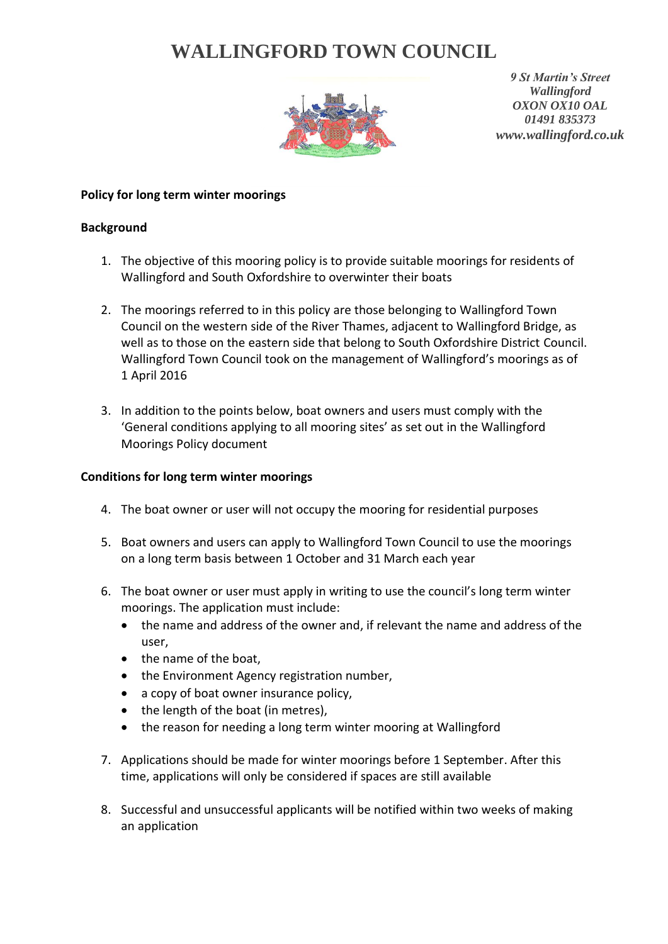## **WALLINGFORD TOWN COUNCIL**



*9 St Martin's Street Wallingford OXON OX10 OAL 01491 835373 www.wallingford.co.uk*

## **Policy for long term winter moorings**

## **Background**

- 1. The objective of this mooring policy is to provide suitable moorings for residents of Wallingford and South Oxfordshire to overwinter their boats
- 2. The moorings referred to in this policy are those belonging to Wallingford Town Council on the western side of the River Thames, adjacent to Wallingford Bridge, as well as to those on the eastern side that belong to South Oxfordshire District Council. Wallingford Town Council took on the management of Wallingford's moorings as of 1 April 2016
- 3. In addition to the points below, boat owners and users must comply with the 'General conditions applying to all mooring sites' as set out in the Wallingford Moorings Policy document

## **Conditions for long term winter moorings**

- 4. The boat owner or user will not occupy the mooring for residential purposes
- 5. Boat owners and users can apply to Wallingford Town Council to use the moorings on a long term basis between 1 October and 31 March each year
- 6. The boat owner or user must apply in writing to use the council's long term winter moorings. The application must include:
	- the name and address of the owner and, if relevant the name and address of the user,
	- the name of the boat,
	- the Environment Agency registration number,
	- a copy of boat owner insurance policy,
	- $\bullet$  the length of the boat (in metres),
	- the reason for needing a long term winter mooring at Wallingford
- 7. Applications should be made for winter moorings before 1 September. After this time, applications will only be considered if spaces are still available
- 8. Successful and unsuccessful applicants will be notified within two weeks of making an application